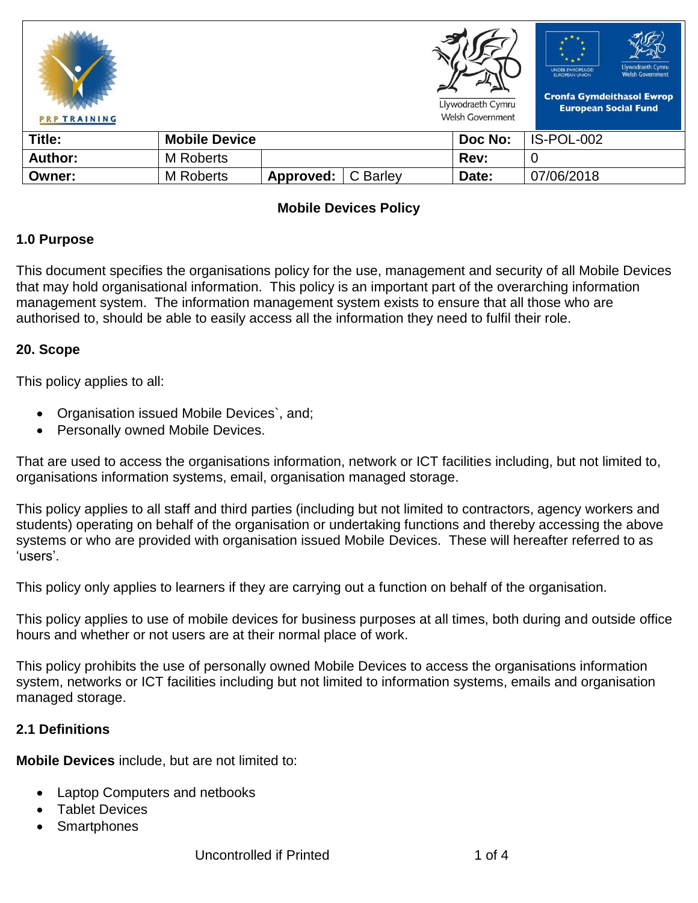| <b>PRP TRAINING</b> |                      |           |          | Llywodraeth Cymru<br><b>Welsh Government</b> | Llywodraeth Cymru<br><b>UNDEB EWROPEAIDD</b><br><b>Welsh Government</b><br><b>EUROPEAN UNION</b><br><b>Cronfa Gymdeithasol Ewrop</b><br><b>European Social Fund</b> |
|---------------------|----------------------|-----------|----------|----------------------------------------------|---------------------------------------------------------------------------------------------------------------------------------------------------------------------|
| Title:              | <b>Mobile Device</b> |           |          | Doc No:                                      | IS-POL-002                                                                                                                                                          |
| <b>Author:</b>      | M Roberts            |           |          | Rev:                                         |                                                                                                                                                                     |
| Owner:              | <b>M</b> Roberts     | Approved: | C Barley | Date:                                        | 07/06/2018                                                                                                                                                          |

## **Mobile Devices Policy**

### **1.0 Purpose**

This document specifies the organisations policy for the use, management and security of all Mobile Devices that may hold organisational information. This policy is an important part of the overarching information management system. The information management system exists to ensure that all those who are authorised to, should be able to easily access all the information they need to fulfil their role.

### **20. Scope**

This policy applies to all:

- Organisation issued Mobile Devices`, and;
- Personally owned Mobile Devices.

That are used to access the organisations information, network or ICT facilities including, but not limited to, organisations information systems, email, organisation managed storage.

This policy applies to all staff and third parties (including but not limited to contractors, agency workers and students) operating on behalf of the organisation or undertaking functions and thereby accessing the above systems or who are provided with organisation issued Mobile Devices. These will hereafter referred to as 'users'.

This policy only applies to learners if they are carrying out a function on behalf of the organisation.

This policy applies to use of mobile devices for business purposes at all times, both during and outside office hours and whether or not users are at their normal place of work.

This policy prohibits the use of personally owned Mobile Devices to access the organisations information system, networks or ICT facilities including but not limited to information systems, emails and organisation managed storage.

### **2.1 Definitions**

**Mobile Devices** include, but are not limited to:

- Laptop Computers and netbooks
- Tablet Devices
- **Smartphones**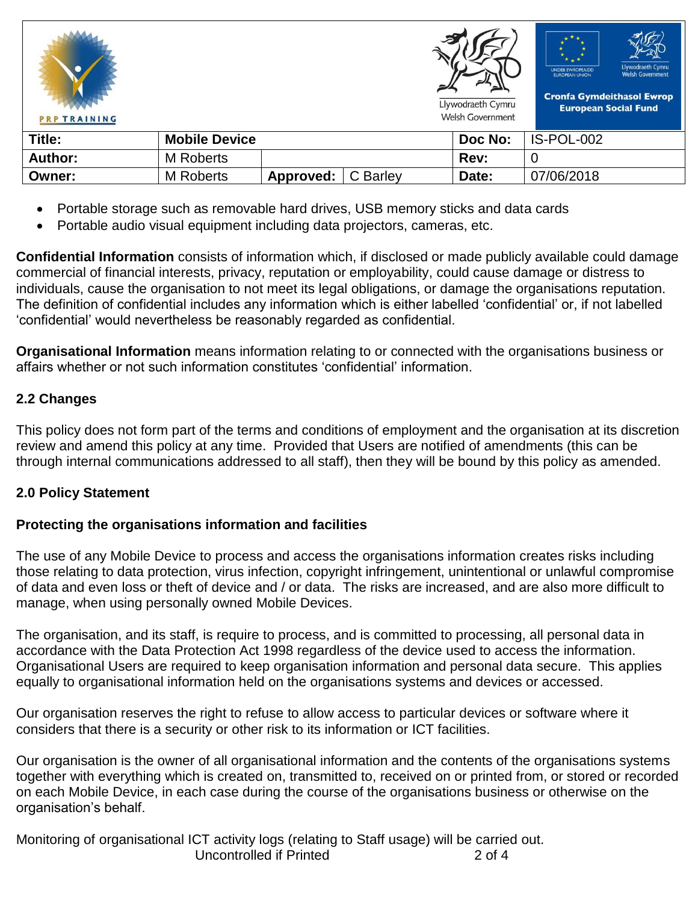| <b>PRP TRAINING</b> |                      |           |          | Llywodraeth Cymru<br><b>Welsh Government</b> | Llywodraeth Cymru<br><b>UNDEB EWROPEAIDD</b><br><b>Welsh Government</b><br><b>EUROPEAN UNION</b><br><b>Cronfa Gymdeithasol Ewrop</b><br><b>European Social Fund</b> |
|---------------------|----------------------|-----------|----------|----------------------------------------------|---------------------------------------------------------------------------------------------------------------------------------------------------------------------|
| Title:              | <b>Mobile Device</b> |           |          | Doc No:                                      | IS-POL-002                                                                                                                                                          |
| Author:             | <b>M</b> Roberts     |           |          | Rev:                                         | O                                                                                                                                                                   |
| Owner:              | <b>M</b> Roberts     | Approved: | C Barley | Date:                                        | 07/06/2018                                                                                                                                                          |

- Portable storage such as removable hard drives, USB memory sticks and data cards
- Portable audio visual equipment including data projectors, cameras, etc.

**Confidential Information** consists of information which, if disclosed or made publicly available could damage commercial of financial interests, privacy, reputation or employability, could cause damage or distress to individuals, cause the organisation to not meet its legal obligations, or damage the organisations reputation. The definition of confidential includes any information which is either labelled 'confidential' or, if not labelled 'confidential' would nevertheless be reasonably regarded as confidential.

**Organisational Information** means information relating to or connected with the organisations business or affairs whether or not such information constitutes 'confidential' information.

# **2.2 Changes**

This policy does not form part of the terms and conditions of employment and the organisation at its discretion review and amend this policy at any time. Provided that Users are notified of amendments (this can be through internal communications addressed to all staff), then they will be bound by this policy as amended.

### **2.0 Policy Statement**

### **Protecting the organisations information and facilities**

The use of any Mobile Device to process and access the organisations information creates risks including those relating to data protection, virus infection, copyright infringement, unintentional or unlawful compromise of data and even loss or theft of device and / or data. The risks are increased, and are also more difficult to manage, when using personally owned Mobile Devices.

The organisation, and its staff, is require to process, and is committed to processing, all personal data in accordance with the Data Protection Act 1998 regardless of the device used to access the information. Organisational Users are required to keep organisation information and personal data secure. This applies equally to organisational information held on the organisations systems and devices or accessed.

Our organisation reserves the right to refuse to allow access to particular devices or software where it considers that there is a security or other risk to its information or ICT facilities.

Our organisation is the owner of all organisational information and the contents of the organisations systems together with everything which is created on, transmitted to, received on or printed from, or stored or recorded on each Mobile Device, in each case during the course of the organisations business or otherwise on the organisation's behalf.

Uncontrolled if Printed 2 of 4 Monitoring of organisational ICT activity logs (relating to Staff usage) will be carried out.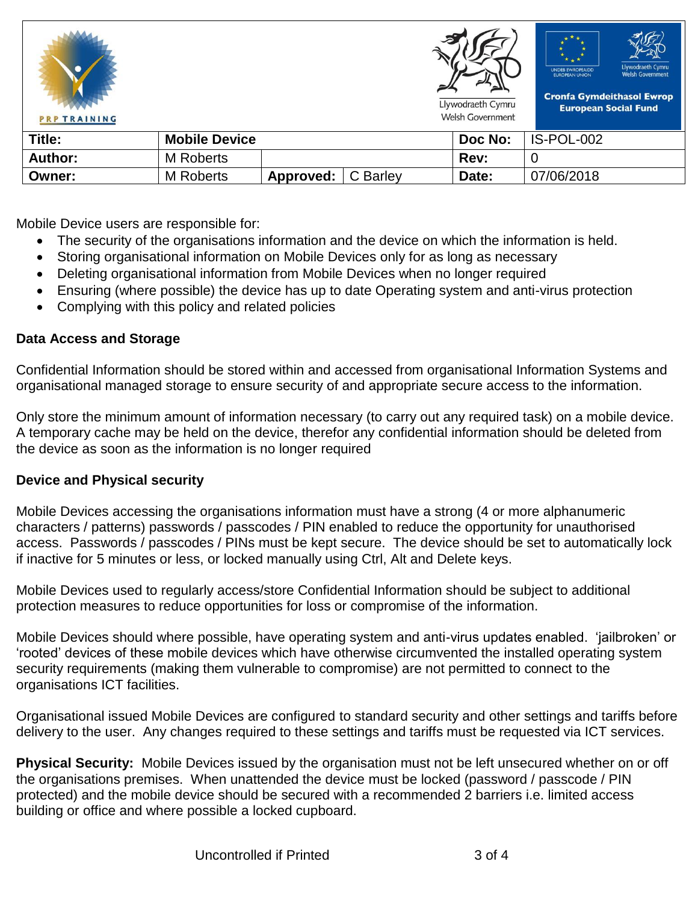

Mobile Device users are responsible for:

- The security of the organisations information and the device on which the information is held.
- Storing organisational information on Mobile Devices only for as long as necessary
- Deleting organisational information from Mobile Devices when no longer required
- Ensuring (where possible) the device has up to date Operating system and anti-virus protection
- Complying with this policy and related policies

### **Data Access and Storage**

Confidential Information should be stored within and accessed from organisational Information Systems and organisational managed storage to ensure security of and appropriate secure access to the information.

Only store the minimum amount of information necessary (to carry out any required task) on a mobile device. A temporary cache may be held on the device, therefor any confidential information should be deleted from the device as soon as the information is no longer required

### **Device and Physical security**

Mobile Devices accessing the organisations information must have a strong (4 or more alphanumeric characters / patterns) passwords / passcodes / PIN enabled to reduce the opportunity for unauthorised access. Passwords / passcodes / PINs must be kept secure. The device should be set to automatically lock if inactive for 5 minutes or less, or locked manually using Ctrl, Alt and Delete keys.

Mobile Devices used to regularly access/store Confidential Information should be subject to additional protection measures to reduce opportunities for loss or compromise of the information.

Mobile Devices should where possible, have operating system and anti-virus updates enabled. 'jailbroken' or 'rooted' devices of these mobile devices which have otherwise circumvented the installed operating system security requirements (making them vulnerable to compromise) are not permitted to connect to the organisations ICT facilities.

Organisational issued Mobile Devices are configured to standard security and other settings and tariffs before delivery to the user. Any changes required to these settings and tariffs must be requested via ICT services.

**Physical Security:** Mobile Devices issued by the organisation must not be left unsecured whether on or off the organisations premises. When unattended the device must be locked (password / passcode / PIN protected) and the mobile device should be secured with a recommended 2 barriers i.e. limited access building or office and where possible a locked cupboard.